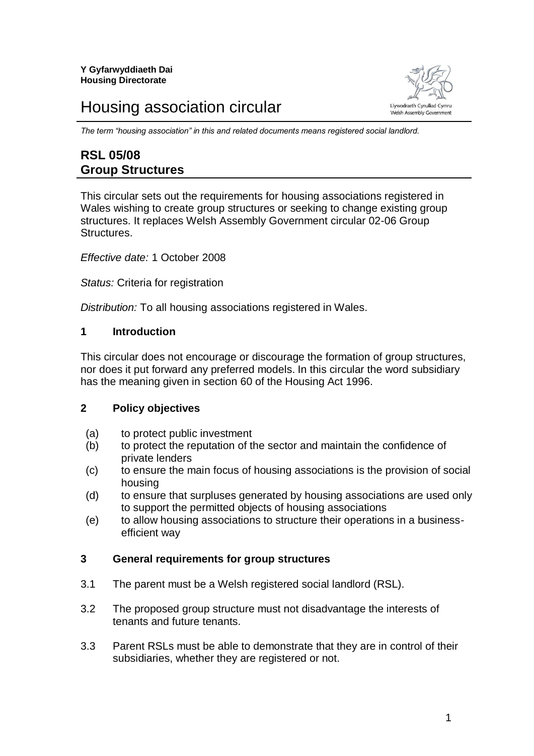# Housing association circular



*The term "housing association" in this and related documents means registered social landlord.*

# **RSL 05/08 Group Structures**

This circular sets out the requirements for housing associations registered in Wales wishing to create group structures or seeking to change existing group structures. It replaces Welsh Assembly Government circular 02-06 Group **Structures** 

*Effective date:* 1 October 2008

*Status:* Criteria for registration

*Distribution:* To all housing associations registered in Wales.

# **1 Introduction**

This circular does not encourage or discourage the formation of group structures, nor does it put forward any preferred models. In this circular the word subsidiary has the meaning given in section 60 of the Housing Act 1996.

#### **2 Policy objectives**

- (a) to protect public investment
- (b) to protect the reputation of the sector and maintain the confidence of private lenders
- (c) to ensure the main focus of housing associations is the provision of social housing
- (d) to ensure that surpluses generated by housing associations are used only to support the permitted objects of housing associations
- (e) to allow housing associations to structure their operations in a businessefficient way

## **3 General requirements for group structures**

- 3.1 The parent must be a Welsh registered social landlord (RSL).
- 3.2 The proposed group structure must not disadvantage the interests of tenants and future tenants.
- 3.3 Parent RSLs must be able to demonstrate that they are in control of their subsidiaries, whether they are registered or not.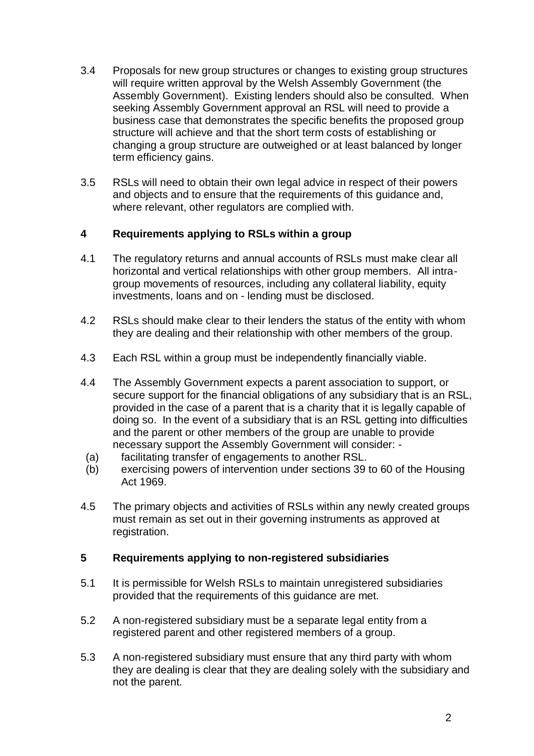- 3.4 Proposals for new group structures or changes to existing group structures will require written approval by the Welsh Assembly Government (the Assembly Government). Existing lenders should also be consulted. When seeking Assembly Government approval an RSL will need to provide a business case that demonstrates the specific benefits the proposed group structure will achieve and that the short term costs of establishing or changing a group structure are outweighed or at least balanced by longer term efficiency gains.
- 3.5 RSLs will need to obtain their own legal advice in respect of their powers and objects and to ensure that the requirements of this guidance and, where relevant, other regulators are complied with.

# **4 Requirements applying to RSLs within a group**

- 4.1 The regulatory returns and annual accounts of RSLs must make clear all horizontal and vertical relationships with other group members. All intragroup movements of resources, including any collateral liability, equity investments, loans and on - lending must be disclosed.
- 4.2 RSLs should make clear to their lenders the status of the entity with whom they are dealing and their relationship with other members of the group.
- 4.3 Each RSL within a group must be independently financially viable.
- 4.4 The Assembly Government expects a parent association to support, or secure support for the financial obligations of any subsidiary that is an RSL, provided in the case of a parent that is a charity that it is legally capable of doing so. In the event of a subsidiary that is an RSL getting into difficulties and the parent or other members of the group are unable to provide necessary support the Assembly Government will consider: -
- (a) facilitating transfer of engagements to another RSL.
- (b) exercising powers of intervention under sections 39 to 60 of the Housing Act 1969.
- 4.5 The primary objects and activities of RSLs within any newly created groups must remain as set out in their governing instruments as approved at registration.

# **5 Requirements applying to non-registered subsidiaries**

- 5.1 It is permissible for Welsh RSLs to maintain unregistered subsidiaries provided that the requirements of this guidance are met.
- 5.2 A non-registered subsidiary must be a separate legal entity from a registered parent and other registered members of a group.
- 5.3 A non-registered subsidiary must ensure that any third party with whom they are dealing is clear that they are dealing solely with the subsidiary and not the parent.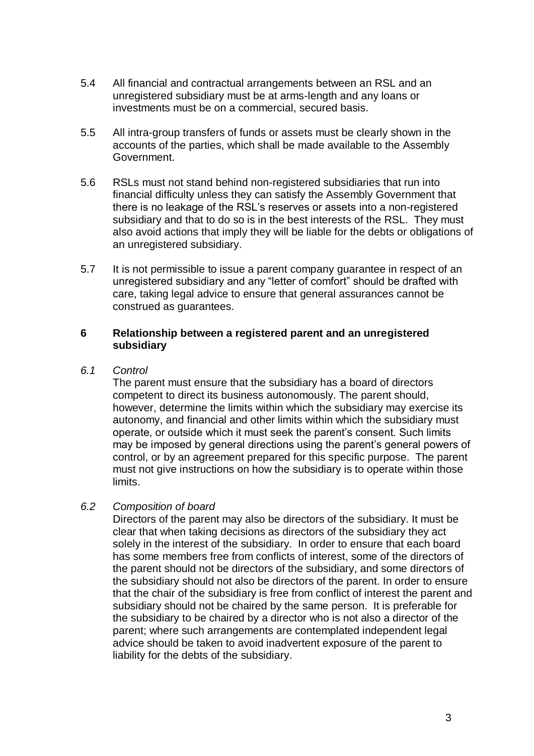- 5.4 All financial and contractual arrangements between an RSL and an unregistered subsidiary must be at arms-length and any loans or investments must be on a commercial, secured basis.
- 5.5 All intra-group transfers of funds or assets must be clearly shown in the accounts of the parties, which shall be made available to the Assembly Government.
- 5.6 RSLs must not stand behind non-registered subsidiaries that run into financial difficulty unless they can satisfy the Assembly Government that there is no leakage of the RSL's reserves or assets into a non-registered subsidiary and that to do so is in the best interests of the RSL. They must also avoid actions that imply they will be liable for the debts or obligations of an unregistered subsidiary.
- 5.7 It is not permissible to issue a parent company guarantee in respect of an unregistered subsidiary and any "letter of comfort" should be drafted with care, taking legal advice to ensure that general assurances cannot be construed as guarantees.

#### **6 Relationship between a registered parent and an unregistered subsidiary**

*6.1 Control* 

The parent must ensure that the subsidiary has a board of directors competent to direct its business autonomously. The parent should, however, determine the limits within which the subsidiary may exercise its autonomy, and financial and other limits within which the subsidiary must operate, or outside which it must seek the parent's consent. Such limits may be imposed by general directions using the parent's general powers of control, or by an agreement prepared for this specific purpose. The parent must not give instructions on how the subsidiary is to operate within those limits.

## *6.2 Composition of board*

Directors of the parent may also be directors of the subsidiary. It must be clear that when taking decisions as directors of the subsidiary they act solely in the interest of the subsidiary. In order to ensure that each board has some members free from conflicts of interest, some of the directors of the parent should not be directors of the subsidiary, and some directors of the subsidiary should not also be directors of the parent. In order to ensure that the chair of the subsidiary is free from conflict of interest the parent and subsidiary should not be chaired by the same person. It is preferable for the subsidiary to be chaired by a director who is not also a director of the parent; where such arrangements are contemplated independent legal advice should be taken to avoid inadvertent exposure of the parent to liability for the debts of the subsidiary.